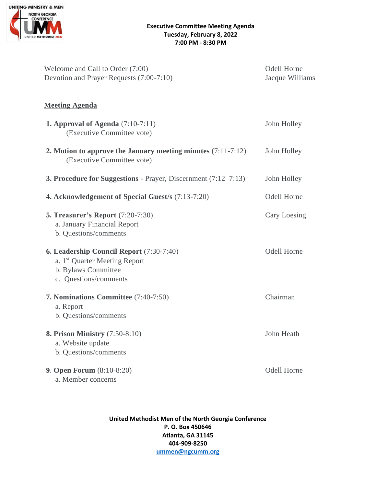

| Welcome and Call to Order (7:00)<br>Devotion and Prayer Requests (7:00-7:10)                                                          | <b>Odell Horne</b><br>Jacque Williams |
|---------------------------------------------------------------------------------------------------------------------------------------|---------------------------------------|
| <b>Meeting Agenda</b>                                                                                                                 |                                       |
| <b>1. Approval of Agenda</b> $(7:10-7:11)$<br>(Executive Committee vote)                                                              | John Holley                           |
| 2. Motion to approve the January meeting minutes $(7:11-7:12)$<br>(Executive Committee vote)                                          | John Holley                           |
| <b>3. Procedure for Suggestions</b> - Prayer, Discernment $(7:12-7:13)$                                                               | John Holley                           |
| 4. Acknowledgement of Special Guest/s (7:13-7:20)                                                                                     | <b>Odell Horne</b>                    |
| <b>5. Treasurer's Report (7:20-7:30)</b><br>a. January Financial Report<br>b. Questions/comments                                      | Cary Loesing                          |
| 6. Leadership Council Report (7:30-7:40)<br>a. 1 <sup>st</sup> Quarter Meeting Report<br>b. Bylaws Committee<br>c. Questions/comments | <b>Odell Horne</b>                    |
| <b>7. Nominations Committee</b> (7:40-7:50)<br>a. Report<br>b. Questions/comments                                                     | Chairman                              |
| <b>8. Prison Ministry (7:50-8:10)</b><br>a. Website update<br>b. Questions/comments                                                   | John Heath                            |
| <b>9. Open Forum (8:10-8:20)</b><br>a. Member concerns                                                                                | <b>Odell Horne</b>                    |

**United Methodist Men of the North Georgia Conference P. O. Box 450646 Atlanta, GA 31145 404-909-8250 [ummen@ngcumm.org](mailto:ummen@ngcumm.org)**